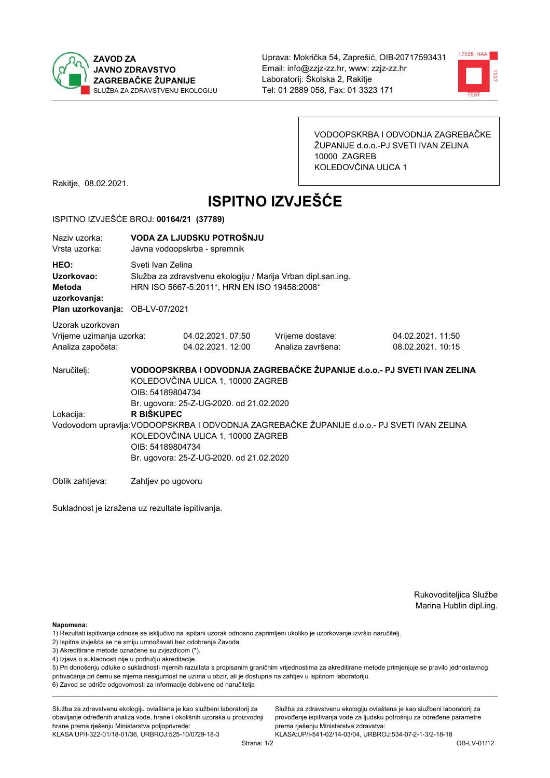



VODOOPSKRBA I ODVODNJA ZAGREBAČKE ŽUPANIJE d.o.o.-PJ SVETI IVAN ZELINA 10000 ZAGREB KOLEDOVČINA ULICA 1

Rakitje, 08.02.2021.

# **ISPITNO IZVJEŠĆE**

#### ISPITNO IZVJEŠĆE BROJ: 00164/21 (37789)

| Naziy uzorka:<br>Vrsta uzorka:                                                  |                                                                                                                                                                                                                 | VODA ZA LJUDSKU POTROŠNJU<br>Javna vodoopskrba - spremnik                                                                         |                                                                         |                                        |  |  |
|---------------------------------------------------------------------------------|-----------------------------------------------------------------------------------------------------------------------------------------------------------------------------------------------------------------|-----------------------------------------------------------------------------------------------------------------------------------|-------------------------------------------------------------------------|----------------------------------------|--|--|
| HEO:<br>Uzorkovao:<br>Metoda<br>uzorkovanja:<br>Plan uzorkovanja: OB-LV-07/2021 |                                                                                                                                                                                                                 | Sveti Ivan Zelina<br>Služba za zdravstvenu ekologiju / Marija Vrban dipl.san.ing.<br>HRN ISO 5667-5:2011*, HRN EN ISO 19458:2008* |                                                                         |                                        |  |  |
| Uzorak uzorkovan<br>Vrijeme uzimanja uzorka:<br>Analiza započeta:               |                                                                                                                                                                                                                 | 04.02.2021, 07:50<br>04.02.2021. 12:00                                                                                            | Vrijeme dostave:<br>Analiza završena:                                   | 04.02.2021. 11:50<br>08.02.2021. 10:15 |  |  |
| Naručitelj:                                                                     | OIB: 54189804734                                                                                                                                                                                                | KOLEDOVČINA ULICA 1, 10000 ZAGREB<br>Br. ugovora: 25-Z-UG-2020. od 21.02.2020                                                     | VODOOPSKRBA I ODVODNJA ZAGREBAČKE ŽUPANIJE d.o.o.- PJ SVETI IVAN ZELINA |                                        |  |  |
| Lokacija:                                                                       | R BIŠKUPEC<br>Vodovodom upravlja: VODOOPSKRBA I ODVODNJA ZAGREBAČKE ŽUPANIJE d.o.o. - PJ SVETI IVAN ZELINA<br>KOLEDOVČINA ULICA 1, 10000 ZAGREB<br>OIB: 54189804734<br>Br. ugovora: 25-Z-UG-2020. od 21.02.2020 |                                                                                                                                   |                                                                         |                                        |  |  |
| Oblik zahtjeva:                                                                 | Zahtjev po ugovoru                                                                                                                                                                                              |                                                                                                                                   |                                                                         |                                        |  |  |

Sukladnost je izražena uz rezultate ispitivanja.

Rukovoditeljica Službe Marina Hublin dipl.ing.

Služba za zdravstvenu ekologiju ovlaštena je kao službeni laboratorij za

provođenje ispitivanja vode za ljudsku potrošnju za određene parametre

Napomena:

- 1) Rezultati ispitivanja odnose se isključivo na ispitani uzorak odnosno zaprimljeni ukoliko je uzorkovanje izvršio naručiteli.
- 2) Ispitna izvješća se ne smiju umnožavati bez odobrenja Zavoda.
- 3) Akreditirane metode označene su zvjezdicom (\*).
- 4) Izjava o sukladnosti nije u području akreditacije.

5) Pri donošenju odluke o sukladnosti mjernih razultata s propisanim graničnim vrijednostima za akreditirane metode primjenjuje se pravilo jednostavnog prihvaćanja pri čemu se mjerna nesigurnost ne uzima u obzir, ali je dostupna na zahtjev u ispitnom laboratoriju.

6) Zavod se odriče odgovornosti za informacije dobivene od naručitelja

Služba za zdravstvenu ekologiju ovlaštena je kao službeni laboratorij za obavljanje određenih analiza vode, hrane i okolišnih uzoraka u proizvodnji hrane prema rješenju Ministarstva poljoprivrede:

prema riešenju Ministarstva zdravstva: KLASA: UP/I-322-01/18-01/36, URBROJ: 525-10/0729-18-3 KLASA:UP/I-541-02/14-03/04, URBROJ:534-07-2-1-3/2-18-18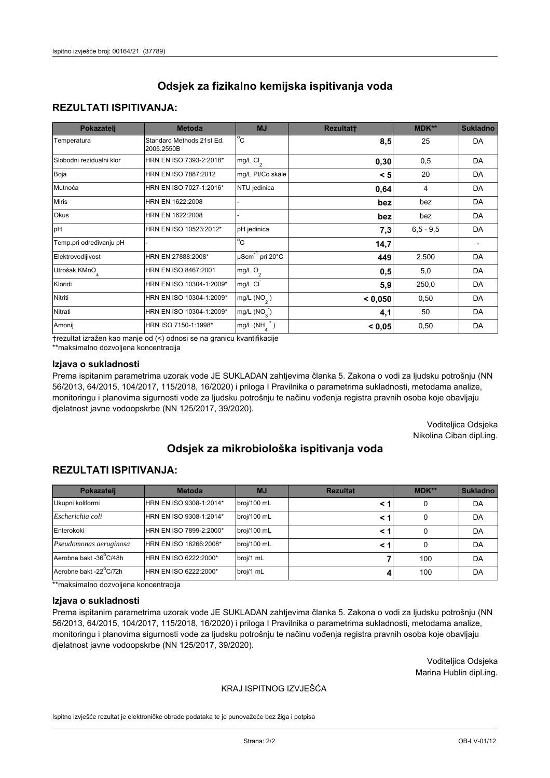## **REZULTATI ISPITIVANJA:**

| Pokazatelj                | <b>Metoda</b>                           | <b>MJ</b>                   | <b>Rezultatt</b> | MDK**       | <b>Sukladno</b> |
|---------------------------|-----------------------------------------|-----------------------------|------------------|-------------|-----------------|
| Temperatura               | Standard Methods 21st Ed.<br>2005.2550B | $^{\circ}$ C                | 8,5              | 25          | <b>DA</b>       |
| Slobodni rezidualni klor  | HRN EN ISO 7393-2:2018*                 | $mg/L$ Cl <sub>2</sub>      | 0,30             | 0,5         | <b>DA</b>       |
| Boja                      | HRN EN ISO 7887:2012                    | mg/L Pt/Co skale            | < 5              | 20          | DA              |
| Mutnoća                   | HRN EN ISO 7027-1:2016*                 | NTU jedinica                | 0,64             | 4           | DA              |
| <b>Miris</b>              | HRN EN 1622:2008                        |                             | bez              | bez         | DA              |
| Okus                      | HRN EN 1622:2008                        |                             | bez              | bez         | DA              |
| pH                        | HRN EN ISO 10523:2012*                  | pH jedinica                 | 7,3              | $6,5 - 9,5$ | <b>DA</b>       |
| Temp.pri određivanju pH   |                                         | $\overline{c}$              | 14,7             |             |                 |
| Elektrovodljivost         | HRN EN 27888:2008*                      | µScm <sup>-1</sup> pri 20°C | 449              | 2.500       | DA              |
| Utrošak KMnO <sub>4</sub> | HRN EN ISO 8467:2001                    | mg/L O <sub>2</sub>         | 0,5              | 5,0         | DA              |
| Kloridi                   | HRN EN ISO 10304-1:2009*                | mg/L CI                     | 5,9              | 250,0       | DA              |
| Nitriti                   | HRN EN ISO 10304-1:2009*                | mg/L $(NO2)$                | < 0,050          | 0,50        | DA              |
| Nitrati                   | HRN EN ISO 10304-1:2009*                | mg/L (NO <sub>3</sub> )     | 4,1              | 50          | DA              |
| Amonij                    | HRN ISO 7150-1:1998*                    | $mg/L(NH_A^+)$              | < 0,05           | 0,50        | DA              |

trezultat izražen kao manje od (<) odnosi se na granicu kvantifikacije

\*\*maksimalno dozvoljena koncentracija

#### Izjava o sukladnosti

Prema ispitanim parametrima uzorak vode JE SUKLADAN zahtjevima članka 5. Zakona o vodi za ljudsku potrošnju (NN 56/2013, 64/2015, 104/2017, 115/2018, 16/2020) i priloga I Pravilnika o parametrima sukladnosti, metodama analize, monitoringu i planovima sigurnosti vode za ljudsku potrošnju te načinu vođenja registra pravnih osoba koje obavljaju djelatnost javne vodoopskrbe (NN 125/2017, 39/2020).

> Voditeljica Odsjeka Nikolina Ciban dipl.ing.

# Odsiek za mikrobiološka ispitivanja voda

## **REZULTATI ISPITIVANJA:**

| Pokazatelj             | <b>Metoda</b>           | <b>MJ</b>   | <b>Rezultat</b> | MDK** | <b>Sukladno</b> |
|------------------------|-------------------------|-------------|-----------------|-------|-----------------|
| Ukupni koliformi       | HRN EN ISO 9308-1:2014* | broj/100 mL |                 | 0     | DA              |
| Escherichia coli       | HRN EN ISO 9308-1:2014* | broj/100 mL | < 1             | 0     | DA              |
| Enterokoki             | HRN EN ISO 7899-2:2000* | broj/100 mL | < 1             | 0     | DA              |
| Pseudomonas aeruginosa | HRN EN ISO 16266:2008*  | broj/100 mL | < 1             | 0     | DA              |
| Aerobne bakt -36°C/48h | HRN EN ISO 6222:2000*   | broj/1 mL   |                 | 100   | DA              |
| Aerobne bakt -22°C/72h | HRN EN ISO 6222:2000*   | broj/1 mL   |                 | 100   | DA              |

\*\*maksimalno dozvoljena koncentracija

#### Izjava o sukladnosti

Prema ispitanim parametrima uzorak vode JE SUKLADAN zahtjevima članka 5. Zakona o vodi za ljudsku potrošnju (NN 56/2013, 64/2015, 104/2017, 115/2018, 16/2020) i priloga I Pravilnika o parametrima sukladnosti, metodama analize, monitoringu i planovima sigurnosti vode za ljudsku potrošnju te načinu vođenja registra pravnih osoba koje obavljaju djelatnost javne vodoopskrbe (NN 125/2017, 39/2020).

> Voditeljica Odsjeka Marina Hublin dipl.ing.

### KRAJ ISPITNOG IZVJEŠĆA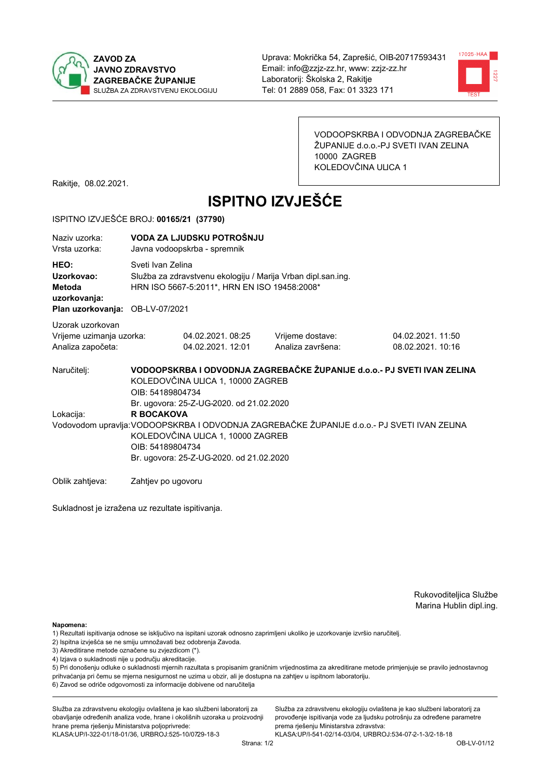



VODOOPSKRBA I ODVODNJA ZAGREBAČKE ŽUPANIJE d.o.o.-PJ SVETI IVAN ZELINA 10000 ZAGREB KOLEDOVČINA ULICA 1

Rakitje, 08.02.2021.

# **ISPITNO IZVJEŠĆE**

#### ISPITNO IZVJEŠĆE BROJ: 00165/21 (37790)

| Naziy uzorka:<br>Vrsta uzorka:                                                         |                    | VODA ZA LJUDSKU POTROŠNJU<br>Javna vodoopskrba - spremnik                                                                                                                                                                                                         |                                                                         |                                       |  |  |
|----------------------------------------------------------------------------------------|--------------------|-------------------------------------------------------------------------------------------------------------------------------------------------------------------------------------------------------------------------------------------------------------------|-------------------------------------------------------------------------|---------------------------------------|--|--|
| HEO:<br>Uzorkovao:<br><b>Metoda</b><br>uzorkovanja:<br>Plan uzorkovanja: OB-LV-07/2021 |                    | Sveti Ivan Zelina<br>Služba za zdravstvenu ekologiju / Marija Vrban dipl.san.ing.<br>HRN ISO 5667-5:2011*, HRN EN ISO 19458:2008*                                                                                                                                 |                                                                         |                                       |  |  |
| Uzorak uzorkovan<br>Vrijeme uzimanja uzorka:<br>Analiza započeta:                      |                    | 04.02.2021.08:25<br>04.02.2021. 12:01                                                                                                                                                                                                                             | Vrijeme dostave:<br>Analiza završena:                                   | 04.02.2021.11:50<br>08.02.2021. 10:16 |  |  |
| Naručitelj:                                                                            | OIB: 54189804734   | KOLEDOVČINA ULICA 1, 10000 ZAGREB                                                                                                                                                                                                                                 | VODOOPSKRBA I ODVODNJA ZAGREBAČKE ŽUPANIJE d.o.o.- PJ SVETI IVAN ZELINA |                                       |  |  |
| Lokacija:                                                                              |                    | Br. ugovora: 25-Z-UG-2020. od 21.02.2020<br><b>R BOCAKOVA</b><br>Vodovodom upravlja: VODOOPSKRBA I ODVODNJA ZAGREBAČKE ŽUPANIJE d.o.o.- PJ SVETI IVAN ZELINA<br>KOLEDOVČINA ULICA 1, 10000 ZAGREB<br>OIB: 54189804734<br>Br. ugovora: 25-Z-UG-2020. od 21.02.2020 |                                                                         |                                       |  |  |
| Oblik zahtjeva:                                                                        | Zahtjev po ugovoru |                                                                                                                                                                                                                                                                   |                                                                         |                                       |  |  |

Sukladnost je izražena uz rezultate ispitivanja.

Rukovoditeljica Službe Marina Hublin dipl.ing.

Napomena:

Služba za zdravstvenu ekologiju ovlaštena je kao službeni laboratorij za obavljanje određenih analiza vode, hrane i okolišnih uzoraka u proizvodnji hrane prema rješenju Ministarstva poljoprivrede: KLASA: UP/I-322-01/18-01/36, URBROJ: 525-10/0729-18-3

Služba za zdravstvenu ekologiju ovlaštena je kao službeni laboratorij za provođenje ispitivanja vode za ljudsku potrošnju za određene parametre prema riešenju Ministarstva zdravstva:

<sup>1)</sup> Rezultati ispitivanja odnose se isključivo na ispitani uzorak odnosno zaprimljeni ukoliko je uzorkovanje izvršio naručiteli.

<sup>2)</sup> Ispitna izvješća se ne smiju umnožavati bez odobrenja Zavoda.

<sup>3)</sup> Akreditirane metode označene su zvjezdicom (\*).

<sup>4)</sup> Izjava o sukladnosti nije u području akreditacije.

<sup>5)</sup> Pri donošenju odluke o sukladnosti mjernih razultata s propisanim graničnim vrijednostima za akreditirane metode primjenjuje se pravilo jednostavnog prihvaćanja pri čemu se mjerna nesigurnost ne uzima u obzir, ali je dostupna na zahtjev u ispitnom laboratoriju.

<sup>6)</sup> Zavod se odriče odgovornosti za informacije dobivene od naručitelja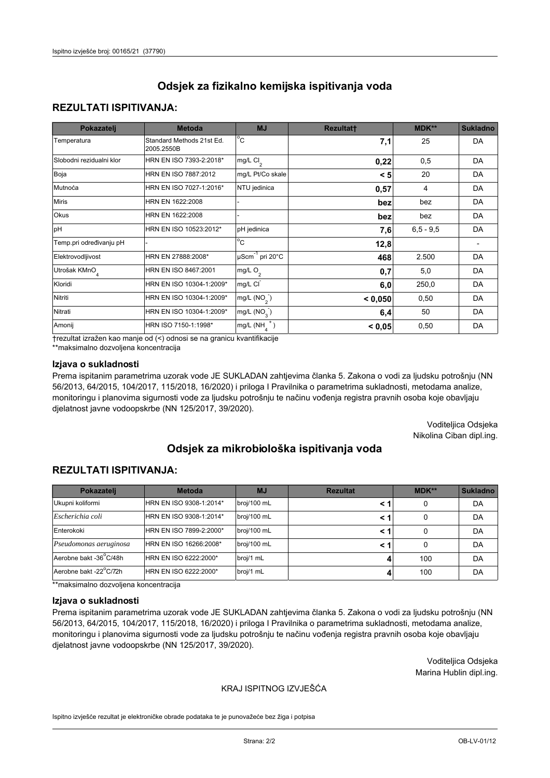## **REZULTATI ISPITIVANJA:**

| Pokazatelj                | <b>Metoda</b>                           | <b>MJ</b>                   | <b>Rezultatt</b> | <b>MDK**</b> | <b>Sukladno</b> |
|---------------------------|-----------------------------------------|-----------------------------|------------------|--------------|-----------------|
| Temperatura               | Standard Methods 21st Ed.<br>2005.2550B | $^{\circ}$ C                | 7,1              | 25           | <b>DA</b>       |
| Slobodni rezidualni klor  | HRN EN ISO 7393-2:2018*                 | $mg/L$ Cl <sub>2</sub>      | 0,22             | 0,5          | DA              |
| Boja                      | HRN EN ISO 7887:2012                    | mg/L Pt/Co skale            | < 5              | 20           | DA              |
| Mutnoća                   | HRN EN ISO 7027-1:2016*                 | NTU jedinica                | 0,57             | 4            | DA              |
| <b>Miris</b>              | HRN EN 1622:2008                        |                             | bez              | bez          | DA              |
| Okus                      | HRN EN 1622:2008                        |                             | bez              | bez          | DA              |
| pH                        | HRN EN ISO 10523:2012*                  | pH jedinica                 | 7,6              | $6,5 - 9,5$  | DA              |
| Temp.pri određivanju pH   |                                         | $\overline{c}$              | 12,8             |              |                 |
| Elektrovodljivost         | HRN EN 27888:2008*                      | µScm <sup>-1</sup> pri 20°C | 468              | 2.500        | DA              |
| Utrošak KMnO <sub>4</sub> | HRN EN ISO 8467:2001                    | mg/L O <sub>2</sub>         | 0,7              | 5,0          | DA              |
| Kloridi                   | HRN EN ISO 10304-1:2009*                | mg/L CI                     | 6,0              | 250,0        | DA              |
| Nitriti                   | HRN EN ISO 10304-1:2009*                | mg/L $(NO2)$                | < 0,050          | 0,50         | DA              |
| Nitrati                   | HRN EN ISO 10304-1:2009*                | mg/L $(NO_3^-)$             | 6,4              | 50           | DA              |
| Amonij                    | HRN ISO 7150-1:1998*                    | mg/L $(NH_A^+)$             | < 0.05           | 0,50         | DA              |

trezultat izražen kao manje od (<) odnosi se na granicu kvantifikacije

\*\*maksimalno dozvoljena koncentracija

#### Izjava o sukladnosti

Prema ispitanim parametrima uzorak vode JE SUKLADAN zahtjevima članka 5. Zakona o vodi za ljudsku potrošnju (NN 56/2013, 64/2015, 104/2017, 115/2018, 16/2020) i priloga I Pravilnika o parametrima sukladnosti, metodama analize, monitoringu i planovima sigurnosti vode za ljudsku potrošnju te načinu vođenja registra pravnih osoba koje obavljaju djelatnost javne vodoopskrbe (NN 125/2017, 39/2020).

> Voditeljica Odsjeka Nikolina Ciban dipl.ing.

# Odsiek za mikrobiološka ispitivanja voda

## **REZULTATI ISPITIVANJA:**

| Pokazatelj             | <b>Metoda</b><br><b>MJ</b> |             | <b>Rezultat</b> | MDK** | <b>Sukladno</b> |
|------------------------|----------------------------|-------------|-----------------|-------|-----------------|
| Ukupni koliformi       | HRN EN ISO 9308-1:2014*    | broj/100 mL |                 | 0     | DA              |
| Escherichia coli       | HRN EN ISO 9308-1:2014*    | broj/100 mL | < 1             | 0     | DA              |
| Enterokoki             | HRN EN ISO 7899-2:2000*    | broj/100 mL | < 1             | 0     | DA              |
| Pseudomonas aeruginosa | HRN EN ISO 16266:2008*     | broj/100 mL | < 1             | 0     | DA              |
| Aerobne bakt -36°C/48h | HRN EN ISO 6222:2000*      | broj/1 mL   |                 | 100   | DA              |
| Aerobne bakt -22°C/72h | HRN EN ISO 6222:2000*      | broj/1 mL   |                 | 100   | DA              |

\*\*maksimalno dozvoljena koncentracija

#### Izjava o sukladnosti

Prema ispitanim parametrima uzorak vode JE SUKLADAN zahtjevima članka 5. Zakona o vodi za ljudsku potrošnju (NN 56/2013, 64/2015, 104/2017, 115/2018, 16/2020) i priloga I Pravilnika o parametrima sukladnosti, metodama analize, monitoringu i planovima sigurnosti vode za ljudsku potrošnju te načinu vođenja registra pravnih osoba koje obavljaju djelatnost javne vodoopskrbe (NN 125/2017, 39/2020).

> Voditeljica Odsjeka Marina Hublin dipl.ing.

#### KRAJ ISPITNOG IZVJEŠĆA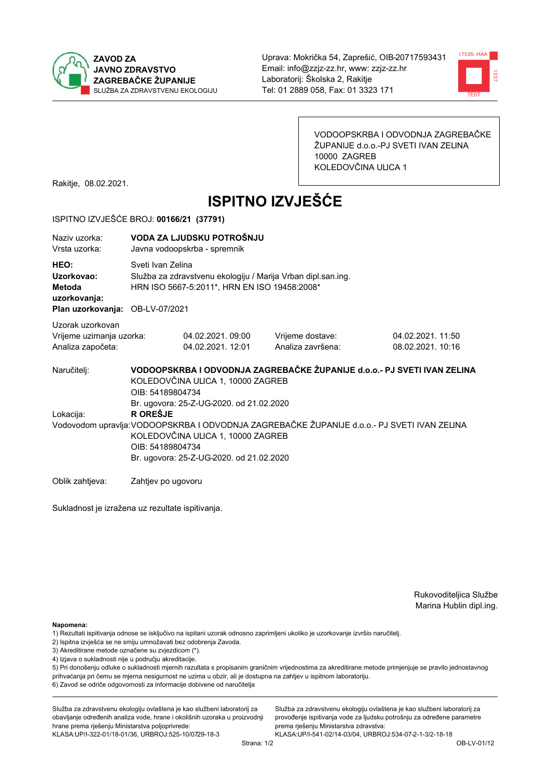



VODOOPSKRBA I ODVODNJA ZAGREBAČKE ŽUPANIJE d.o.o.-PJ SVETI IVAN ZELINA 10000 ZAGREB KOLEDOVČINA ULICA 1

Rakitje, 08.02.2021.

# **ISPITNO IZVJEŠĆE**

#### ISPITNO IZVJEŠĆE BROJ: 00166/21 (37791)

| Naziy uzorka:<br>Vrsta uzorka:                                                  |                                                                                                                                                                                                                      | VODA ZA LJUDSKU POTROŠNJU<br>Javna vodoopskrba - spremnik                                                                         |                                                                         |                                       |  |  |
|---------------------------------------------------------------------------------|----------------------------------------------------------------------------------------------------------------------------------------------------------------------------------------------------------------------|-----------------------------------------------------------------------------------------------------------------------------------|-------------------------------------------------------------------------|---------------------------------------|--|--|
| HEO:<br>Uzorkovao:<br>Metoda<br>uzorkovanja:<br>Plan uzorkovanja: OB-LV-07/2021 |                                                                                                                                                                                                                      | Sveti Ivan Zelina<br>Služba za zdravstvenu ekologiju / Marija Vrban dipl.san.ing.<br>HRN ISO 5667-5:2011*, HRN EN ISO 19458:2008* |                                                                         |                                       |  |  |
| Uzorak uzorkovan<br>Vrijeme uzimanja uzorka:<br>Analiza započeta:               |                                                                                                                                                                                                                      | 04.02.2021.09:00<br>04.02.2021. 12:01                                                                                             | Vrijeme dostave:<br>Analiza završena:                                   | 04.02.2021.11:50<br>08.02.2021. 10:16 |  |  |
| Naručitelj:                                                                     | OIB: 54189804734                                                                                                                                                                                                     | KOLEDOVČINA ULICA 1, 10000 ZAGREB<br>Br. ugovora: 25-Z-UG-2020. od 21.02.2020                                                     | VODOOPSKRBA I ODVODNJA ZAGREBAČKE ŽUPANIJE d.o.o.- PJ SVETI IVAN ZELINA |                                       |  |  |
| Lokacija:                                                                       | <b>R OREŠJE</b><br>Vodovodom upravlja: VODOOPSKRBA I ODVODNJA ZAGREBAČKE ŽUPANIJE d.o.o. - PJ SVETI IVAN ZELINA<br>KOLEDOVČINA ULICA 1, 10000 ZAGREB<br>OIB: 54189804734<br>Br. ugovora: 25-Z-UG-2020. od 21.02.2020 |                                                                                                                                   |                                                                         |                                       |  |  |
| Oblik zahtjeva:                                                                 | Zahtjev po ugovoru                                                                                                                                                                                                   |                                                                                                                                   |                                                                         |                                       |  |  |

Sukladnost je izražena uz rezultate ispitivanja.

Rukovoditeljica Službe Marina Hublin dipl.ing.

Napomena:

- 1) Rezultati ispitivanja odnose se isključivo na ispitani uzorak odnosno zaprimljeni ukoliko je uzorkovanje izvršio naručiteli.
- 2) Ispitna izvješća se ne smiju umnožavati bez odobrenja Zavoda.
- 3) Akreditirane metode označene su zvjezdicom (\*).
- 4) Izjava o sukladnosti nije u području akreditacije.

5) Pri donošenju odluke o sukladnosti mjernih razultata s propisanim graničnim vrijednostima za akreditirane metode primjenjuje se pravilo jednostavnog prihvaćanja pri čemu se mjerna nesigurnost ne uzima u obzir, ali je dostupna na zahtjev u ispitnom laboratoriju.

6) Zavod se odriče odgovornosti za informacije dobivene od naručitelja

Služba za zdravstvenu ekologiju ovlaštena je kao službeni laboratorij za obavljanje određenih analiza vode, hrane i okolišnih uzoraka u proizvodnji hrane prema rješenju Ministarstva poljoprivrede: KLASA: UP/I-322-01/18-01/36, URBROJ: 525-10/0729-18-3

Služba za zdravstvenu ekologiju ovlaštena je kao službeni laboratorij za provođenje ispitivanja vode za ljudsku potrošnju za određene parametre prema riešenju Ministarstva zdravstva: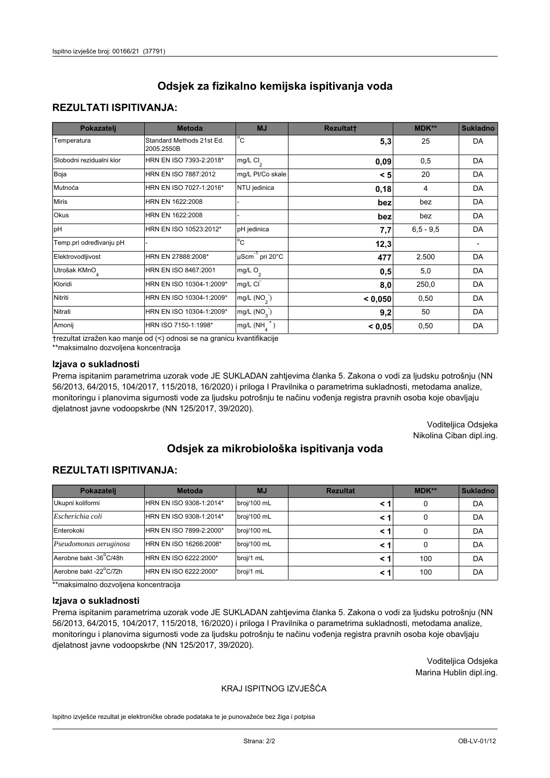## **REZULTATI ISPITIVANJA:**

| Pokazatelj                | <b>Metoda</b>                           | <b>MJ</b>                   | <b>Rezultatt</b> | MDK**       | <b>Sukladno</b> |
|---------------------------|-----------------------------------------|-----------------------------|------------------|-------------|-----------------|
| Temperatura               | Standard Methods 21st Ed.<br>2005.2550B | $^{\circ}$ C                | 5,3              | 25          | DA              |
| Slobodni rezidualni klor  | HRN EN ISO 7393-2:2018*                 | $mg/L$ Cl <sub>2</sub>      | 0,09             | 0,5         | DA              |
| Boja                      | HRN EN ISO 7887:2012                    | mg/L Pt/Co skale            | < 5              | 20          | DA              |
| Mutnoća                   | HRN EN ISO 7027-1:2016*                 | NTU jedinica                | 0,18             | 4           | DA              |
| <b>Miris</b>              | HRN EN 1622:2008                        |                             | bez              | bez         | DA              |
| Okus                      | HRN EN 1622:2008                        |                             | bez              | bez         | DA              |
| pH                        | HRN EN ISO 10523:2012*                  | pH jedinica                 | 7,7              | $6,5 - 9,5$ | DA              |
| Temp.pri određivanju pH   |                                         | $\overline{c}$              | 12,3             |             |                 |
| Elektrovodljivost         | HRN EN 27888:2008*                      | µScm <sup>-1</sup> pri 20°C | 477              | 2.500       | DA              |
| Utrošak KMnO <sub>4</sub> | HRN EN ISO 8467:2001                    | mg/L O <sub>2</sub>         | 0,5              | 5,0         | DA              |
| Kloridi                   | HRN EN ISO 10304-1:2009*                | mg/L CI                     | 8,0              | 250,0       | DA              |
| Nitriti                   | HRN EN ISO 10304-1:2009*                | mg/L $(NO2)$                | < 0,050          | 0,50        | DA              |
| Nitrati                   | HRN EN ISO 10304-1:2009*                | mg/L (NO <sub>3</sub> )     | 9,2              | 50          | DA              |
| Amonij                    | HRN ISO 7150-1:1998*                    | $mg/L(NH_A^+)$              | < 0,05           | 0,50        | DA              |

trezultat izražen kao manje od (<) odnosi se na granicu kvantifikacije

\*\*maksimalno dozvoljena koncentracija

#### Izjava o sukladnosti

Prema ispitanim parametrima uzorak vode JE SUKLADAN zahtjevima članka 5. Zakona o vodi za ljudsku potrošnju (NN 56/2013, 64/2015, 104/2017, 115/2018, 16/2020) i priloga I Pravilnika o parametrima sukladnosti, metodama analize, monitoringu i planovima sigurnosti vode za ljudsku potrošnju te načinu vođenja registra pravnih osoba koje obavljaju djelatnost javne vodoopskrbe (NN 125/2017, 39/2020).

> Voditeljica Odsjeka Nikolina Ciban dipl.ing.

# Odsiek za mikrobiološka ispitivanja voda

## **REZULTATI ISPITIVANJA:**

| Pokazatelj             | <b>Metoda</b><br><b>MJ</b> |             | <b>Rezultat</b> | MDK** | <b>Sukladno</b> |
|------------------------|----------------------------|-------------|-----------------|-------|-----------------|
| Ukupni koliformi       | HRN EN ISO 9308-1:2014*    | broj/100 mL |                 | 0     | DA              |
| Escherichia coli       | HRN EN ISO 9308-1:2014*    | broj/100 mL | < 1             | 0     | DA              |
| Enterokoki             | HRN EN ISO 7899-2:2000*    | broj/100 mL | < 1             | 0     | DA              |
| Pseudomonas aeruginosa | HRN EN ISO 16266:2008*     | broj/100 mL | < 1             | 0     | DA              |
| Aerobne bakt -36°C/48h | HRN EN ISO 6222:2000*      | broj/1 mL   | < 1             | 100   | DA              |
| Aerobne bakt -22°C/72h | HRN EN ISO 6222:2000*      | broj/1 mL   | < 1             | 100   | DA              |

\*\*maksimalno dozvoljena koncentracija

#### Izjava o sukladnosti

Prema ispitanim parametrima uzorak vode JE SUKLADAN zahtjevima članka 5. Zakona o vodi za ljudsku potrošnju (NN 56/2013, 64/2015, 104/2017, 115/2018, 16/2020) i priloga I Pravilnika o parametrima sukladnosti, metodama analize, monitoringu i planovima sigurnosti vode za ljudsku potrošnju te načinu vođenja registra pravnih osoba koje obavljaju djelatnost javne vodoopskrbe (NN 125/2017, 39/2020).

> Voditeljica Odsjeka Marina Hublin dipl.ing.

### KRAJ ISPITNOG IZVJEŠĆA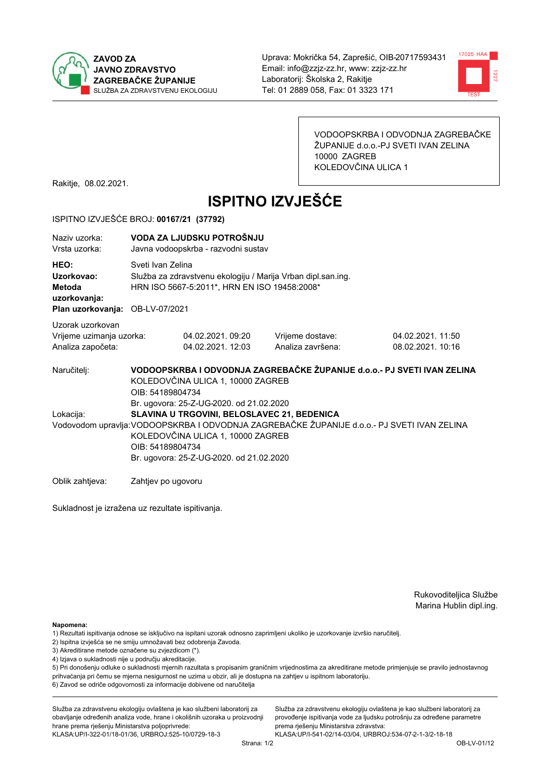



VODOOPSKRBA I ODVODNJA ZAGREBAČKE ŽUPANIJE d.o.o.-PJ SVETI IVAN ZELINA 10000 ZAGREB KOLEDOVČINA ULICA 1

Rakitje, 08.02.2021.

# **ISPITNO IZVJEŠĆE**

#### ISPITNO IZVJEŠĆE BROJ: 00167/21 (37792)

| Naziv uzorka:<br>Vrsta uzorka:                                                  |                  | VODA ZA LJUDSKU POTROŠNJU<br>Javna vodoopskrba - razvodni sustav                                                                                                             |                                                                                             |                                       |  |  |  |
|---------------------------------------------------------------------------------|------------------|------------------------------------------------------------------------------------------------------------------------------------------------------------------------------|---------------------------------------------------------------------------------------------|---------------------------------------|--|--|--|
| HEO:<br>Uzorkovao:<br>Metoda<br>uzorkovanja:<br>Plan uzorkovanja: OB-LV-07/2021 |                  | Sveti Ivan Zelina<br>Služba za zdravstvenu ekologiju / Marija Vrban dipl.san.ing.<br>HRN ISO 5667-5:2011*, HRN EN ISO 19458:2008*                                            |                                                                                             |                                       |  |  |  |
| Uzorak uzorkovan<br>Vrijeme uzimanja uzorka:<br>Analiza započeta:               |                  | 04.02.2021.09:20<br>04.02.2021.12:03                                                                                                                                         | Vrijeme dostave:<br>Analiza završena:                                                       | 04.02.2021.11:50<br>08.02.2021. 10:16 |  |  |  |
| Naručitelj:                                                                     |                  | VODOOPSKRBA I ODVODNJA ZAGREBAČKE ŽUPANIJE d.o.o.- PJ SVETI IVAN ZELINA<br>KOLEDOVČINA ULICA 1, 10000 ZAGREB<br>OIB: 54189804734<br>Br. ugovora: 25-Z-UG-2020. od 21.02.2020 |                                                                                             |                                       |  |  |  |
| Lokacija:                                                                       |                  | SLAVINA U TRGOVINI, BELOSLAVEC 21, BEDENICA                                                                                                                                  |                                                                                             |                                       |  |  |  |
|                                                                                 | OIB: 54189804734 | KOLEDOVČINA ULICA 1, 10000 ZAGREB<br>Br. ugovora: 25-Z-UG-2020. od 21.02.2020                                                                                                | Vodovodom upravlja: VODOOPSKRBA I ODVODNJA ZAGREBAČKE ŽUPANIJE d.o.o.- PJ SVETI IVAN ZELINA |                                       |  |  |  |

Oblik zahtjeva: Zahtjev po ugovoru

Sukladnost je izražena uz rezultate ispitivanja.

Rukovoditeljica Službe Marina Hublin dipl.ing.

Napomena:

- 1) Rezultati ispitivanja odnose se isključivo na ispitani uzorak odnosno zaprimljeni ukoliko je uzorkovanje izvršio naručiteli.
- 2) Ispitna izvješća se ne smiju umnožavati bez odobrenja Zavoda.
- 3) Akreditirane metode označene su zvjezdicom (\*).
- 4) Izjava o sukladnosti nije u području akreditacije.

5) Pri donošenju odluke o sukladnosti mjernih razultata s propisanim graničnim vrijednostima za akreditirane metode primjenjuje se pravilo jednostavnog prihvaćanja pri čemu se mjerna nesigurnost ne uzima u obzir, ali je dostupna na zahtjev u ispitnom laboratoriju.

6) Zavod se odriče odgovornosti za informacije dobivene od naručitelja

Služba za zdravstvenu ekologiju ovlaštena je kao službeni laboratorij za obavljanje određenih analiza vode, hrane i okolišnih uzoraka u proizvodnji hrane prema rješenju Ministarstva poljoprivrede:

KLASA.UP/I-322-01/18-01/36, URBROJ:525-10/0729-18-3

Služba za zdravstvenu ekologiju ovlaštena je kao službeni laboratorij za provođenje ispitivanja vode za ljudsku potrošnju za određene parametre prema riešenju Ministarstva zdravstva: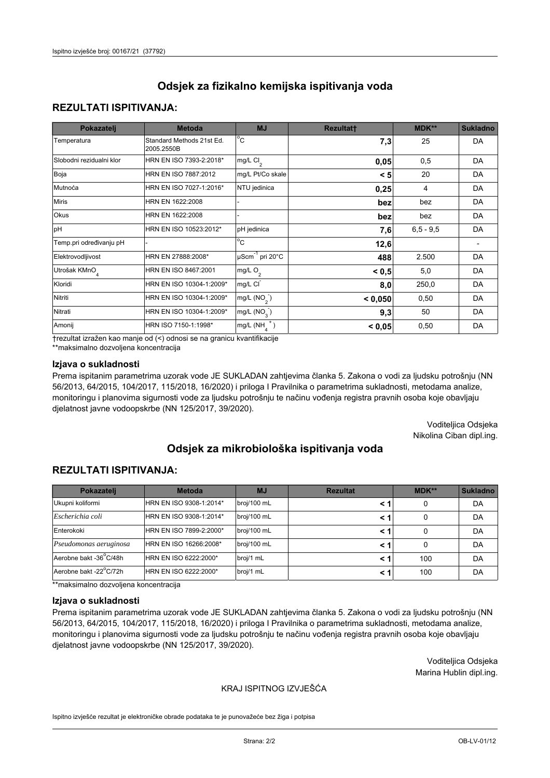## **REZULTATI ISPITIVANJA:**

| Pokazatelj                | <b>Metoda</b>                           | <b>MJ</b>                   | <b>Rezultatt</b> | <b>MDK**</b> | <b>Sukladno</b> |
|---------------------------|-----------------------------------------|-----------------------------|------------------|--------------|-----------------|
| Temperatura               | Standard Methods 21st Ed.<br>2005.2550B | $^{\circ}$ C                | 7,3              | 25           | DA              |
| Slobodni rezidualni klor  | HRN EN ISO 7393-2:2018*                 | mg/L $Cl_2$                 | 0,05             | 0,5          | DA              |
| Boja                      | HRN EN ISO 7887:2012                    | mg/L Pt/Co skale            | < 5              | 20           | DA              |
| Mutnoća                   | HRN EN ISO 7027-1:2016*                 | NTU jedinica                | 0,25             | 4            | DA              |
| <b>Miris</b>              | HRN EN 1622:2008                        |                             | bez              | bez          | DA              |
| Okus                      | HRN EN 1622:2008                        |                             | bez              | bez          | DA              |
| pH                        | HRN EN ISO 10523:2012*                  | pH jedinica                 | 7,6              | $6.5 - 9.5$  | DA              |
| Temp.pri određivanju pH   |                                         | $\overline{c}$              | 12,6             |              |                 |
| Elektrovodljivost         | HRN EN 27888:2008*                      | µScm <sup>-1</sup> pri 20°C | 488              | 2.500        | DA              |
| Utrošak KMnO <sub>4</sub> | HRN EN ISO 8467:2001                    | mg/L O <sub>2</sub>         | < 0.5            | 5,0          | DA              |
| Kloridi                   | HRN EN ISO 10304-1:2009*                | mg/L CI                     | 8,0              | 250,0        | DA              |
| Nitriti                   | HRN EN ISO 10304-1:2009*                | mg/L $(NO2)$                | < 0,050          | 0,50         | DA              |
| Nitrati                   | HRN EN ISO 10304-1:2009*                | mg/L $(NO3)$                | 9,3              | 50           | DA              |
| Amonij                    | HRN ISO 7150-1:1998*                    | mg/L $(NH_A^+)$             | < 0,05           | 0,50         | DA              |

trezultat izražen kao manje od (<) odnosi se na granicu kvantifikacije

\*\*maksimalno dozvoljena koncentracija

#### Izjava o sukladnosti

Prema ispitanim parametrima uzorak vode JE SUKLADAN zahtjevima članka 5. Zakona o vodi za ljudsku potrošnju (NN 56/2013, 64/2015, 104/2017, 115/2018, 16/2020) i priloga I Pravilnika o parametrima sukladnosti, metodama analize, monitoringu i planovima sigurnosti vode za ljudsku potrošnju te načinu vođenja registra pravnih osoba koje obavljaju djelatnost javne vodoopskrbe (NN 125/2017, 39/2020).

> Voditeljica Odsjeka Nikolina Ciban dipl.ing.

# Odsiek za mikrobiološka ispitivanja voda

## **REZULTATI ISPITIVANJA:**

| Pokazatelj             | <b>Metoda</b><br><b>MJ</b> |             | <b>Rezultat</b> | MDK** | <b>Sukladno</b> |
|------------------------|----------------------------|-------------|-----------------|-------|-----------------|
| Ukupni koliformi       | HRN EN ISO 9308-1:2014*    | broj/100 mL |                 | 0     | DA              |
| Escherichia coli       | HRN EN ISO 9308-1:2014*    | broj/100 mL | < 1             | 0     | DA              |
| Enterokoki             | HRN EN ISO 7899-2:2000*    | broj/100 mL | < 1             | 0     | DA              |
| Pseudomonas aeruginosa | HRN EN ISO 16266:2008*     | broj/100 mL | < 1             | 0     | DA              |
| Aerobne bakt -36°C/48h | HRN EN ISO 6222:2000*      | broj/1 mL   | < 1             | 100   | DA              |
| Aerobne bakt -22°C/72h | HRN EN ISO 6222:2000*      | broj/1 mL   | < 1             | 100   | DA              |

\*\*maksimalno dozvoljena koncentracija

#### Izjava o sukladnosti

Prema ispitanim parametrima uzorak vode JE SUKLADAN zahtjevima članka 5. Zakona o vodi za ljudsku potrošnju (NN 56/2013, 64/2015, 104/2017, 115/2018, 16/2020) i priloga I Pravilnika o parametrima sukladnosti, metodama analize, monitoringu i planovima sigurnosti vode za ljudsku potrošnju te načinu vođenja registra pravnih osoba koje obavljaju djelatnost javne vodoopskrbe (NN 125/2017, 39/2020).

> Voditeljica Odsjeka Marina Hublin dipl.ing.

#### KRAJ ISPITNOG IZVJEŠĆA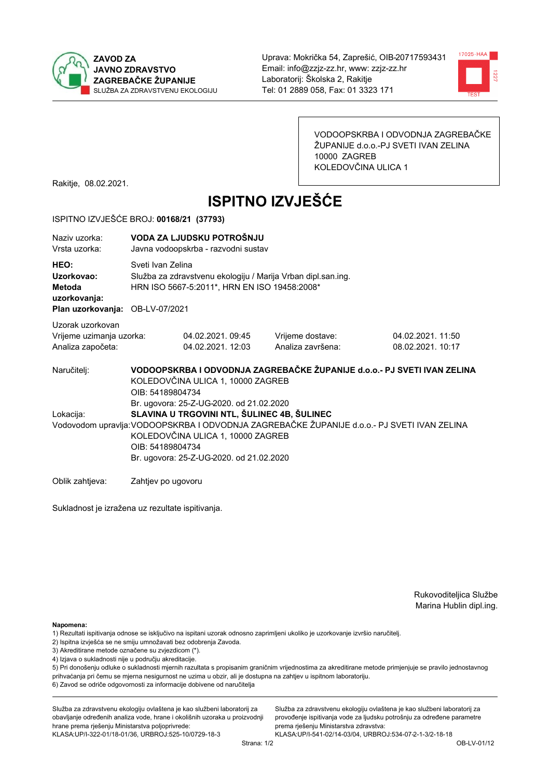



VODOOPSKRBA I ODVODNJA ZAGREBAČKE ŽUPANIJE d.o.o.-PJ SVETI IVAN ZELINA 10000 ZAGREB KOLEDOVČINA ULICA 1

Rakitje, 08.02.2021.

# **ISPITNO IZVJEŠĆE**

#### ISPITNO IZVJEŠĆE BROJ: 00168/21 (37793)

| Naziv uzorka:<br>Vrsta uzorka:                                                  |                                                                                                                                                                                                                                                                                             | VODA ZA LJUDSKU POTROŠNJU<br>Javna vodoopskrba - razvodni sustav                                                                  |                                       |                                       |  |  |  |
|---------------------------------------------------------------------------------|---------------------------------------------------------------------------------------------------------------------------------------------------------------------------------------------------------------------------------------------------------------------------------------------|-----------------------------------------------------------------------------------------------------------------------------------|---------------------------------------|---------------------------------------|--|--|--|
| HEO:<br>Uzorkovao:<br>Metoda<br>uzorkovanja:<br>Plan uzorkovanja: OB-LV-07/2021 |                                                                                                                                                                                                                                                                                             | Sveti Ivan Zelina<br>Služba za zdravstvenu ekologiju / Marija Vrban dipl.san.ing.<br>HRN ISO 5667-5:2011*, HRN EN ISO 19458:2008* |                                       |                                       |  |  |  |
| Uzorak uzorkovan<br>Vrijeme uzimanja uzorka:<br>Analiza započeta:               |                                                                                                                                                                                                                                                                                             | 04.02.2021.09:45<br>04.02.2021.12:03                                                                                              | Vrijeme dostave:<br>Analiza završena: | 04.02.2021.11:50<br>08.02.2021. 10:17 |  |  |  |
| Naručitelj:                                                                     |                                                                                                                                                                                                                                                                                             | VODOOPSKRBA I ODVODNJA ZAGREBAČKE ŽUPANIJE d.o.o.- PJ SVETI IVAN ZELINA<br>KOLEDOVČINA ULICA 1, 10000 ZAGREB<br>OIB: 54189804734  |                                       |                                       |  |  |  |
| Lokacija:                                                                       | Br. ugovora: 25-Z-UG-2020. od 21.02.2020<br>SLAVINA U TRGOVINI NTL, ŠULINEC 4B, ŠULINEC<br>Vodovodom upravlja: VODOOPSKRBA I ODVODNJA ZAGREBAČKE ŽUPANIJE d.o.o.- PJ SVETI IVAN ZELINA<br>KOLEDOVČINA ULICA 1, 10000 ZAGREB<br>OIB: 54189804734<br>Br. ugovora: 25-Z-UG-2020. od 21.02.2020 |                                                                                                                                   |                                       |                                       |  |  |  |

Oblik zahtjeva: Zahtjev po ugovoru

Sukladnost je izražena uz rezultate ispitivanja.

Rukovoditeljica Službe Marina Hublin dipl.ing.

Napomena:

- 1) Rezultati ispitivanja odnose se isključivo na ispitani uzorak odnosno zaprimljeni ukoliko je uzorkovanje izvršio naručiteli.
- 2) Ispitna izvješća se ne smiju umnožavati bez odobrenja Zavoda.
- 3) Akreditirane metode označene su zvjezdicom (\*).
- 4) Izjava o sukladnosti nije u području akreditacije.

5) Pri donošenju odluke o sukladnosti mjernih razultata s propisanim graničnim vrijednostima za akreditirane metode primjenjuje se pravilo jednostavnog prihvaćanja pri čemu se mjerna nesigurnost ne uzima u obzir, ali je dostupna na zahtjev u ispitnom laboratoriju.

6) Zavod se odriče odgovornosti za informacije dobivene od naručitelja

Služba za zdravstvenu ekologiju ovlaštena je kao službeni laboratorij za obavljanje određenih analiza vode, hrane i okolišnih uzoraka u proizvodnji hrane prema rješenju Ministarstva poljoprivrede:

KLASA.UP/I-322-01/18-01/36, URBROJ:525-10/0729-18-3

Služba za zdravstvenu ekologiju ovlaštena je kao službeni laboratorij za provođenje ispitivanja vode za ljudsku potrošnju za određene parametre prema riešenju Ministarstva zdravstva: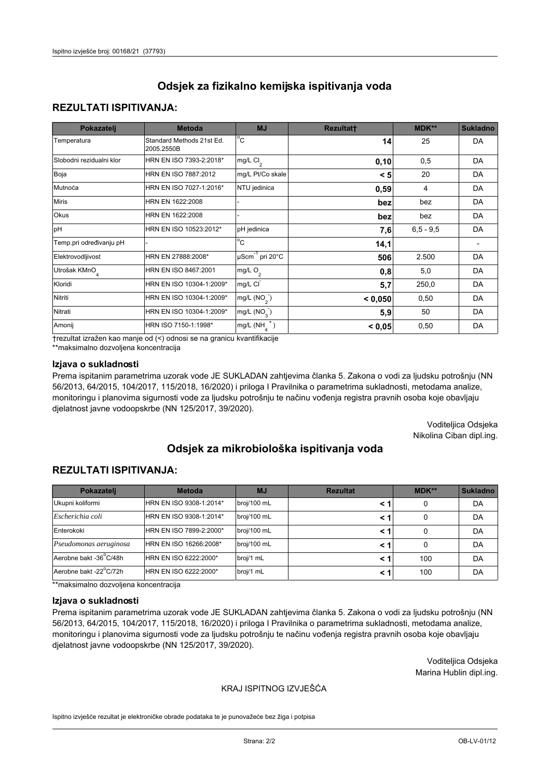## **REZULTATI ISPITIVANJA:**

| Pokazatelj                | <b>Metoda</b>                           | <b>MJ</b>                   | <b>Rezultatt</b> | <b>MDK**</b> | <b>Sukladno</b> |
|---------------------------|-----------------------------------------|-----------------------------|------------------|--------------|-----------------|
| Temperatura               | Standard Methods 21st Ed.<br>2005.2550B | $^{\circ}$ C                | 14               | 25           | <b>DA</b>       |
| Slobodni rezidualni klor  | HRN EN ISO 7393-2:2018*                 | mg/L $Cl_2$                 | 0, 10            | 0,5          | DA              |
| Boja                      | HRN EN ISO 7887:2012                    | mg/L Pt/Co skale            | < 5              | 20           | <b>DA</b>       |
| Mutnoća                   | HRN EN ISO 7027-1:2016*                 | NTU jedinica                | 0,59             | 4            | DA              |
| <b>Miris</b>              | HRN EN 1622:2008                        |                             | bez              | bez          | DA              |
| Okus                      | HRN EN 1622:2008                        |                             | bez              | bez          | DA              |
| pH                        | HRN EN ISO 10523:2012*                  | pH jedinica                 | 7,6              | $6.5 - 9.5$  | <b>DA</b>       |
| Temp.pri određivanju pH   |                                         | $\overline{c}$              | 14,1             |              |                 |
| Elektrovodljivost         | HRN EN 27888:2008*                      | µScm <sup>-1</sup> pri 20°C | 506              | 2.500        | DA              |
| Utrošak KMnO <sub>4</sub> | HRN EN ISO 8467:2001                    | mg/L O <sub>2</sub>         | 0,8              | 5,0          | DA              |
| Kloridi                   | HRN EN ISO 10304-1:2009*                | mg/L CI                     | 5,7              | 250,0        | DA              |
| Nitriti                   | HRN EN ISO 10304-1:2009*                | mg/L $(NO2)$                | < 0,050          | 0,50         | DA              |
| Nitrati                   | HRN EN ISO 10304-1:2009*                | mg/L $(NO3)$                | 5,9              | 50           | DA              |
| Amonij                    | HRN ISO 7150-1:1998*                    | mg/L $(NH_A^+)$             | < 0,05           | 0,50         | DA              |

trezultat izražen kao manje od (<) odnosi se na granicu kvantifikacije

\*\*maksimalno dozvoljena koncentracija

#### Izjava o sukladnosti

Prema ispitanim parametrima uzorak vode JE SUKLADAN zahtjevima članka 5. Zakona o vodi za ljudsku potrošnju (NN 56/2013, 64/2015, 104/2017, 115/2018, 16/2020) i priloga I Pravilnika o parametrima sukladnosti, metodama analize, monitoringu i planovima sigurnosti vode za ljudsku potrošnju te načinu vođenja registra pravnih osoba koje obavljaju djelatnost javne vodoopskrbe (NN 125/2017, 39/2020).

> Voditeljica Odsjeka Nikolina Ciban dipl.ing.

# Odsiek za mikrobiološka ispitivanja voda

## **REZULTATI ISPITIVANJA:**

| Pokazatelj             | <b>Metoda</b>           | <b>MJ</b>   | <b>Rezultat</b> | MDK** | <b>Sukladno</b> |
|------------------------|-------------------------|-------------|-----------------|-------|-----------------|
| Ukupni koliformi       | HRN EN ISO 9308-1:2014* | broj/100 mL |                 | 0     | DA              |
| Escherichia coli       | HRN EN ISO 9308-1:2014* | broj/100 mL | < 1             | 0     | DA              |
| Enterokoki             | HRN EN ISO 7899-2:2000* | broj/100 mL | < 1             | 0     | DA              |
| Pseudomonas aeruginosa | HRN EN ISO 16266:2008*  | broj/100 mL | < 1             | 0     | DA              |
| Aerobne bakt -36°C/48h | HRN EN ISO 6222:2000*   | broj/1 mL   | < 1             | 100   | DA              |
| Aerobne bakt -22°C/72h | HRN EN ISO 6222:2000*   | broj/1 mL   | < 1             | 100   | DA              |

\*\*maksimalno dozvoljena koncentracija

#### Izjava o sukladnosti

Prema ispitanim parametrima uzorak vode JE SUKLADAN zahtjevima članka 5. Zakona o vodi za ljudsku potrošnju (NN 56/2013, 64/2015, 104/2017, 115/2018, 16/2020) i priloga I Pravilnika o parametrima sukladnosti, metodama analize, monitoringu i planovima sigurnosti vode za ljudsku potrošnju te načinu vođenja registra pravnih osoba koje obavljaju djelatnost javne vodoopskrbe (NN 125/2017, 39/2020).

> Voditeljica Odsjeka Marina Hublin dipl.ing.

### KRAJ ISPITNOG IZVJEŠĆA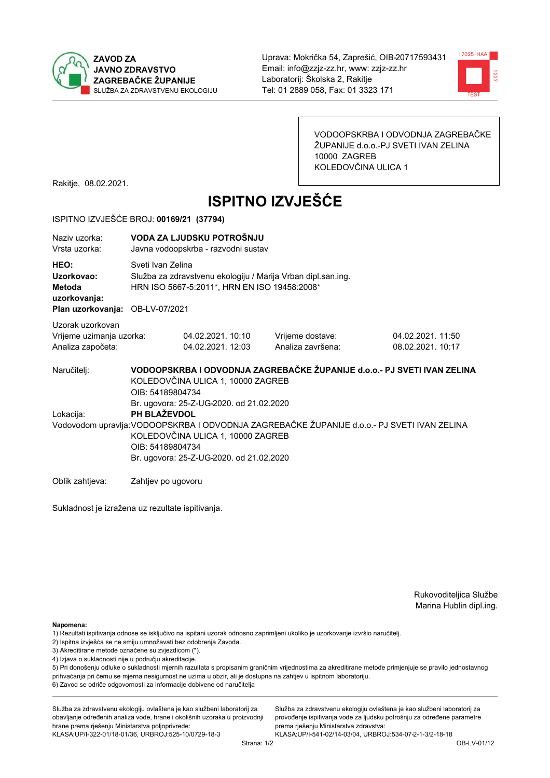



VODOOPSKRBA I ODVODNJA ZAGREBAČKE ŽUPANIJE d.o.o.-PJ SVETI IVAN ZELINA 10000 ZAGREB KOLEDOVČINA ULICA 1

Rakitje, 08.02.2021.

# **ISPITNO IZVJEŠĆE**

#### ISPITNO IZVJEŠĆE BROJ: 00169/21 (37794)

| Naziy uzorka:<br>Vrsta uzorka:                                                         |                                                                                                                                                                                                                                                              | VODA ZA LJUDSKU POTROŠNJU<br>Javna vodoopskrba - razvodni sustav                                                                  |                                                                         |                                        |  |  |
|----------------------------------------------------------------------------------------|--------------------------------------------------------------------------------------------------------------------------------------------------------------------------------------------------------------------------------------------------------------|-----------------------------------------------------------------------------------------------------------------------------------|-------------------------------------------------------------------------|----------------------------------------|--|--|
| HEO:<br>Uzorkovao:<br><b>Metoda</b><br>uzorkovanja:<br>Plan uzorkovanja: OB-LV-07/2021 |                                                                                                                                                                                                                                                              | Sveti Ivan Zelina<br>Služba za zdravstvenu ekologiju / Marija Vrban dipl.san.ing.<br>HRN ISO 5667-5:2011*, HRN EN ISO 19458:2008* |                                                                         |                                        |  |  |
| Uzorak uzorkovan<br>Vrijeme uzimanja uzorka:<br>Analiza započeta:                      |                                                                                                                                                                                                                                                              | 04.02.2021. 10:10<br>04.02.2021. 12:03                                                                                            | Vrijeme dostave:<br>Analiza završena:                                   | 04.02.2021. 11:50<br>08.02.2021. 10:17 |  |  |
| Naručitelj:                                                                            | OIB: 54189804734                                                                                                                                                                                                                                             | KOLEDOVČINA ULICA 1, 10000 ZAGREB                                                                                                 | VODOOPSKRBA I ODVODNJA ZAGREBAČKE ŽUPANIJE d.o.o.- PJ SVETI IVAN ZELINA |                                        |  |  |
| Lokacija:                                                                              | Br. ugovora: 25-Z-UG-2020. od 21.02.2020<br>PH BLAŽEVDOL<br>Vodovodom upravlja: VODOOPSKRBA I ODVODNJA ZAGREBAČKE ŽUPANIJE d.o.o.- PJ SVETI IVAN ZELINA<br>KOLEDOVČINA ULICA 1, 10000 ZAGREB<br>OIB: 54189804734<br>Br. ugovora: 25-Z-UG-2020. od 21.02.2020 |                                                                                                                                   |                                                                         |                                        |  |  |
| Oblik zahtjeva:                                                                        | Zahtjev po ugovoru                                                                                                                                                                                                                                           |                                                                                                                                   |                                                                         |                                        |  |  |

Sukladnost je izražena uz rezultate ispitivanja.

Rukovoditeljica Službe Marina Hublin dipl.ing.

Napomena:

- 1) Rezultati ispitivanja odnose se isključivo na ispitani uzorak odnosno zaprimljeni ukoliko je uzorkovanje izvršio naručiteli.
- 2) Ispitna izvješća se ne smiju umnožavati bez odobrenja Zavoda.
- 3) Akreditirane metode označene su zvjezdicom (\*).
- 4) Izjava o sukladnosti nije u području akreditacije.

5) Pri donošenju odluke o sukladnosti mjernih razultata s propisanim graničnim vrijednostima za akreditirane metode primjenjuje se pravilo jednostavnog prihvaćanja pri čemu se mjerna nesigurnost ne uzima u obzir, ali je dostupna na zahtjev u ispitnom laboratoriju.

6) Zavod se odriče odgovornosti za informacije dobivene od naručitelja

Služba za zdravstvenu ekologiju ovlaštena je kao službeni laboratorij za obavljanje određenih analiza vode, hrane i okolišnih uzoraka u proizvodnji hrane prema rješenju Ministarstva poljoprivrede: KLASA.UP/I-322-01/18-01/36, URBROJ:525-10/0729-18-3

Služba za zdravstvenu ekologiju ovlaštena je kao službeni laboratorij za provođenje ispitivanja vode za ljudsku potrošnju za određene parametre prema riešenju Ministarstva zdravstva: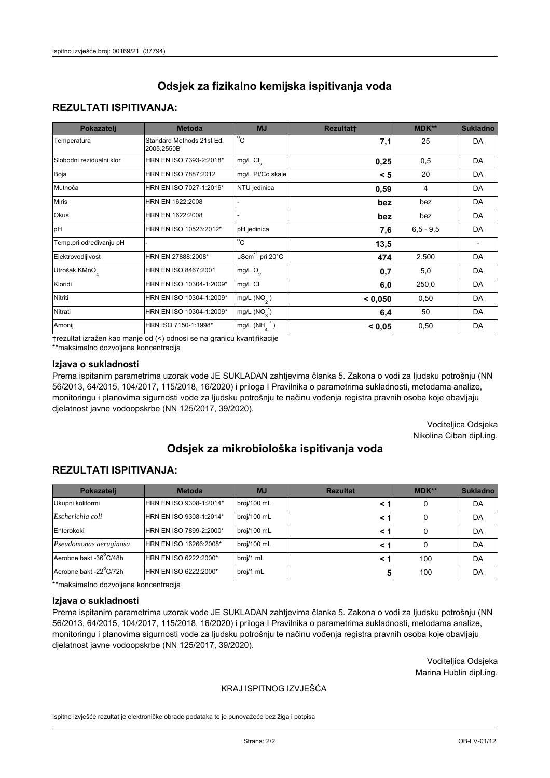## **REZULTATI ISPITIVANJA:**

| Pokazatelj                | <b>Metoda</b>                           | <b>MJ</b>                   | <b>Rezultatt</b> | MDK**       | <b>Sukladno</b> |
|---------------------------|-----------------------------------------|-----------------------------|------------------|-------------|-----------------|
| Temperatura               | Standard Methods 21st Ed.<br>2005.2550B | $^{\circ}$ C                | 7,1              | 25          | <b>DA</b>       |
| Slobodni rezidualni klor  | HRN EN ISO 7393-2:2018*                 | $mg/L$ Cl <sub>2</sub>      | 0,25             | 0,5         | <b>DA</b>       |
| Boja                      | HRN EN ISO 7887:2012                    | mg/L Pt/Co skale            | < 5              | 20          | DA              |
| Mutnoća                   | HRN EN ISO 7027-1:2016*                 | NTU jedinica                | 0,59             | 4           | DA              |
| <b>Miris</b>              | HRN EN 1622:2008                        |                             | bez              | bez         | DA              |
| Okus                      | HRN EN 1622:2008                        |                             | bez              | bez         | DA              |
| pH                        | HRN EN ISO 10523:2012*                  | pH jedinica                 | 7,6              | $6,5 - 9,5$ | <b>DA</b>       |
| Temp.pri određivanju pH   |                                         | $\overline{c}$              | 13,5             |             |                 |
| Elektrovodljivost         | HRN EN 27888:2008*                      | µScm <sup>-1</sup> pri 20°C | 474              | 2.500       | DA              |
| Utrošak KMnO <sub>4</sub> | HRN EN ISO 8467:2001                    | mg/L O <sub>2</sub>         | 0,7              | 5,0         | DA              |
| Kloridi                   | HRN EN ISO 10304-1:2009*                | mg/L CI                     | 6,0              | 250,0       | DA              |
| Nitriti                   | HRN EN ISO 10304-1:2009*                | mg/L $(NO2)$                | < 0,050          | 0,50        | DA              |
| Nitrati                   | HRN EN ISO 10304-1:2009*                | mg/L (NO <sub>3</sub> )     | 6,4              | 50          | DA              |
| Amonij                    | HRN ISO 7150-1:1998*                    | $mg/L(NH_A^+)$              | < 0,05           | 0,50        | DA              |

trezultat izražen kao manje od (<) odnosi se na granicu kvantifikacije

\*\*maksimalno dozvoljena koncentracija

#### Izjava o sukladnosti

Prema ispitanim parametrima uzorak vode JE SUKLADAN zahtjevima članka 5. Zakona o vodi za ljudsku potrošnju (NN 56/2013, 64/2015, 104/2017, 115/2018, 16/2020) i priloga I Pravilnika o parametrima sukladnosti, metodama analize, monitoringu i planovima sigurnosti vode za ljudsku potrošnju te načinu vođenja registra pravnih osoba koje obavljaju djelatnost javne vodoopskrbe (NN 125/2017, 39/2020).

> Voditeljica Odsjeka Nikolina Ciban dipl.ing.

# Odsiek za mikrobiološka ispitivanja voda

## **REZULTATI ISPITIVANJA:**

| Pokazatelj             | <b>Metoda</b>           | <b>MJ</b>   | <b>Rezultat</b> | MDK** | <b>Sukladno</b> |
|------------------------|-------------------------|-------------|-----------------|-------|-----------------|
| Ukupni koliformi       | HRN EN ISO 9308-1:2014* | broj/100 mL |                 | 0     | DA              |
| Escherichia coli       | HRN EN ISO 9308-1:2014* | broj/100 mL | < 1             | 0     | DA              |
| Enterokoki             | HRN EN ISO 7899-2:2000* | broj/100 mL | < 1             | 0     | DA              |
| Pseudomonas aeruginosa | HRN EN ISO 16266:2008*  | broj/100 mL | < 1             | 0     | DA              |
| Aerobne bakt -36°C/48h | HRN EN ISO 6222:2000*   | broj/1 mL   | < 1             | 100   | DA              |
| Aerobne bakt -22°C/72h | HRN EN ISO 6222:2000*   | broj/1 mL   | 5               | 100   | DA              |

\*\*maksimalno dozvoljena koncentracija

#### Izjava o sukladnosti

Prema ispitanim parametrima uzorak vode JE SUKLADAN zahtjevima članka 5. Zakona o vodi za ljudsku potrošnju (NN 56/2013, 64/2015, 104/2017, 115/2018, 16/2020) i priloga I Pravilnika o parametrima sukladnosti, metodama analize, monitoringu i planovima sigurnosti vode za ljudsku potrošnju te načinu vođenja registra pravnih osoba koje obavljaju djelatnost javne vodoopskrbe (NN 125/2017, 39/2020).

> Voditeljica Odsjeka Marina Hublin dipl.ing.

### KRAJ ISPITNOG IZVJEŠĆA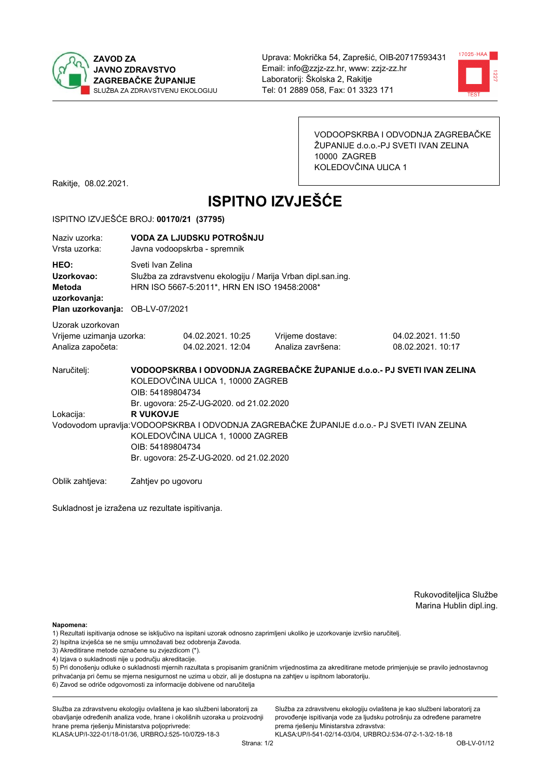



VODOOPSKRBA I ODVODNJA ZAGREBAČKE ŽUPANIJE d.o.o.-PJ SVETI IVAN ZELINA 10000 ZAGREB KOLEDOVČINA ULICA 1

Rakitje, 08.02.2021.

# **ISPITNO IZVJEŠĆE**

#### ISPITNO IZVJEŠĆE BROJ: 00170/21 (37795)

| Naziy uzorka:<br>Vrsta uzorka:                                                  | VODA ZA LJUDSKU POTROŠNJU<br>Javna vodoopskrba - spremnik                                                                                                                                                             |                                                                                                                                   |                                                                         |                                        |  |  |
|---------------------------------------------------------------------------------|-----------------------------------------------------------------------------------------------------------------------------------------------------------------------------------------------------------------------|-----------------------------------------------------------------------------------------------------------------------------------|-------------------------------------------------------------------------|----------------------------------------|--|--|
| HEO:<br>Uzorkovao:<br>Metoda<br>uzorkovanja:<br>Plan uzorkovanja: OB-LV-07/2021 |                                                                                                                                                                                                                       | Sveti Ivan Zelina<br>Služba za zdravstvenu ekologiju / Marija Vrban dipl.san.ing.<br>HRN ISO 5667-5:2011*, HRN EN ISO 19458:2008* |                                                                         |                                        |  |  |
| Uzorak uzorkovan<br>Vrijeme uzimanja uzorka:<br>Analiza započeta:               |                                                                                                                                                                                                                       | 04.02.2021.10:25<br>04.02.2021. 12:04                                                                                             | Vrijeme dostave:<br>Analiza završena:                                   | 04.02.2021. 11:50<br>08.02.2021. 10:17 |  |  |
| Naručitelj:                                                                     | OIB: 54189804734                                                                                                                                                                                                      | KOLEDOVČINA ULICA 1, 10000 ZAGREB<br>Br. ugovora: 25-Z-UG-2020. od 21.02.2020                                                     | VODOOPSKRBA I ODVODNJA ZAGREBAČKE ŽUPANIJE d.o.o.- PJ SVETI IVAN ZELINA |                                        |  |  |
| Lokacija:                                                                       | <b>R VUKOVJE</b><br>Vodovodom upravlja: VODOOPSKRBA I ODVODNJA ZAGREBAČKE ŽUPANIJE d.o.o. - PJ SVETI IVAN ZELINA<br>KOLEDOVČINA ULICA 1, 10000 ZAGREB<br>OIB: 54189804734<br>Br. ugovora: 25-Z-UG-2020. od 21.02.2020 |                                                                                                                                   |                                                                         |                                        |  |  |
| Oblik zahtjeva:                                                                 | Zahtjev po ugovoru                                                                                                                                                                                                    |                                                                                                                                   |                                                                         |                                        |  |  |

Sukladnost je izražena uz rezultate ispitivanja.

Rukovoditeljica Službe Marina Hublin dipl.ing.

Služba za zdravstvenu ekologiju ovlaštena je kao službeni laboratorij za

provođenje ispitivanja vode za ljudsku potrošnju za određene parametre

Napomena:

- 1) Rezultati ispitivanja odnose se isključivo na ispitani uzorak odnosno zaprimljeni ukoliko je uzorkovanje izvršio naručiteli.
- 2) Ispitna izvješća se ne smiju umnožavati bez odobrenja Zavoda.
- 3) Akreditirane metode označene su zvjezdicom (\*).
- 4) Izjava o sukladnosti nije u području akreditacije.

5) Pri donošenju odluke o sukladnosti mjernih razultata s propisanim graničnim vrijednostima za akreditirane metode primjenjuje se pravilo jednostavnog prihvaćanja pri čemu se mjerna nesigurnost ne uzima u obzir, ali je dostupna na zahtjev u ispitnom laboratoriju.

6) Zavod se odriče odgovornosti za informacije dobivene od naručitelja

Služba za zdravstvenu ekologiju ovlaštena je kao službeni laboratorij za obavljanje određenih analiza vode, hrane i okolišnih uzoraka u proizvodnji hrane prema rješenju Ministarstva poljoprivrede:

prema riešenju Ministarstva zdravstva: KLASA: UP/I-322-01/18-01/36, URBROJ: 525-10/0729-18-3 KLASA:UP/I-541-02/14-03/04, URBROJ:534-07-2-1-3/2-18-18

Strana: 1/2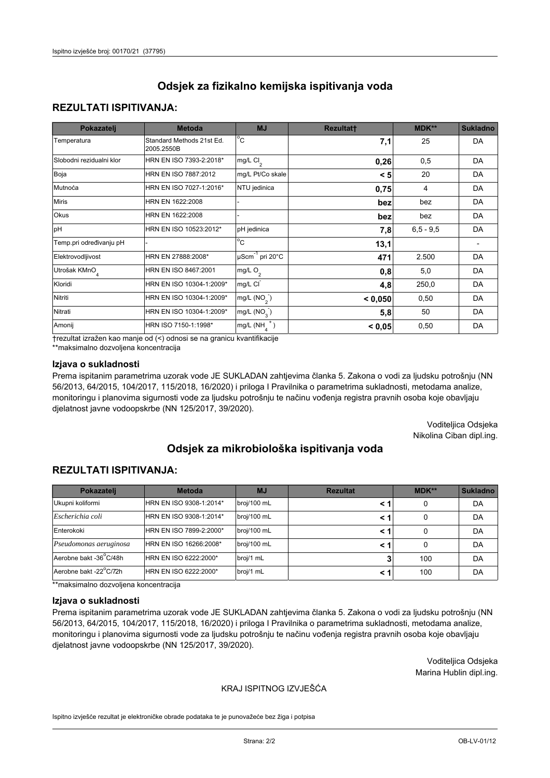## **REZULTATI ISPITIVANJA:**

| Pokazatelj                | <b>Metoda</b>                           | <b>MJ</b>                        | <b>Rezultatt</b> | <b>MDK**</b> | <b>Sukladno</b> |
|---------------------------|-----------------------------------------|----------------------------------|------------------|--------------|-----------------|
| Temperatura               | Standard Methods 21st Ed.<br>2005.2550B | $^{\circ}$ C                     | 7,1              | 25           | <b>DA</b>       |
| Slobodni rezidualni klor  | HRN EN ISO 7393-2:2018*                 | mg/L $Cl2$                       | 0,26             | 0,5          | <b>DA</b>       |
| Boja                      | HRN EN ISO 7887:2012                    | mg/L Pt/Co skale                 | < 5              | 20           | <b>DA</b>       |
| Mutnoća                   | HRN EN ISO 7027-1:2016*                 | NTU jedinica                     | 0,75             | 4            | DA              |
| <b>Miris</b>              | HRN EN 1622:2008                        |                                  | bez              | bez          | DA              |
| Okus                      | HRN EN 1622:2008                        |                                  | bez              | bez          | DA              |
| pH                        | HRN EN ISO 10523:2012*                  | pH jedinica                      | 7,8              | $6,5 - 9,5$  | <b>DA</b>       |
| Temp.pri određivanju pH   |                                         | $\overline{c}$                   | 13,1             |              |                 |
| Elektrovodljivost         | HRN EN 27888:2008*                      | $\mu$ Scm <sup>-1</sup> pri 20°C | 471              | 2.500        | DA              |
| Utrošak KMnO <sub>4</sub> | HRN EN ISO 8467:2001                    | mg/L O <sub>2</sub>              | 0,8              | 5,0          | DA              |
| Kloridi                   | HRN EN ISO 10304-1:2009*                | mg/L CI                          | 4,8              | 250,0        | DA              |
| Nitriti                   | HRN EN ISO 10304-1:2009*                | mg/L $(NO2)$                     | < 0,050          | 0,50         | <b>DA</b>       |
| Nitrati                   | HRN EN ISO 10304-1:2009*                | mg/L $(NO3)$                     | 5,8              | 50           | DA              |
| Amonij                    | HRN ISO 7150-1:1998*                    | $mg/L(NH_A^+)$                   | < 0,05           | 0,50         | DA              |

trezultat izražen kao manje od (<) odnosi se na granicu kvantifikacije

\*\*maksimalno dozvoljena koncentracija

#### Izjava o sukladnosti

Prema ispitanim parametrima uzorak vode JE SUKLADAN zahtjevima članka 5. Zakona o vodi za ljudsku potrošnju (NN 56/2013, 64/2015, 104/2017, 115/2018, 16/2020) i priloga I Pravilnika o parametrima sukladnosti, metodama analize, monitoringu i planovima sigurnosti vode za ljudsku potrošnju te načinu vođenja registra pravnih osoba koje obavljaju djelatnost javne vodoopskrbe (NN 125/2017, 39/2020).

> Voditeljica Odsjeka Nikolina Ciban dipl.ing.

# Odsiek za mikrobiološka ispitivanja voda

## **REZULTATI ISPITIVANJA:**

| Pokazatelj             | <b>Metoda</b>           | <b>MJ</b>   | <b>Rezultat</b> | MDK** | <b>Sukladno</b> |
|------------------------|-------------------------|-------------|-----------------|-------|-----------------|
| Ukupni koliformi       | HRN EN ISO 9308-1:2014* | broj/100 mL |                 | 0     | DA              |
| Escherichia coli       | HRN EN ISO 9308-1:2014* | broj/100 mL | < 1             | 0     | DA              |
| Enterokoki             | HRN EN ISO 7899-2:2000* | broj/100 mL | < 1             | 0     | DA              |
| Pseudomonas aeruginosa | HRN EN ISO 16266:2008*  | broj/100 mL | < 1             | 0     | DA              |
| Aerobne bakt -36°C/48h | HRN EN ISO 6222:2000*   | broj/1 mL   |                 | 100   | DA              |
| Aerobne bakt -22°C/72h | HRN EN ISO 6222:2000*   | broj/1 mL   | < 1             | 100   | DA              |

\*\*maksimalno dozvoljena koncentracija

#### Izjava o sukladnosti

Prema ispitanim parametrima uzorak vode JE SUKLADAN zahtjevima članka 5. Zakona o vodi za ljudsku potrošnju (NN 56/2013, 64/2015, 104/2017, 115/2018, 16/2020) i priloga I Pravilnika o parametrima sukladnosti, metodama analize, monitoringu i planovima sigurnosti vode za ljudsku potrošnju te načinu vođenja registra pravnih osoba koje obavljaju djelatnost javne vodoopskrbe (NN 125/2017, 39/2020).

> Voditeljica Odsjeka Marina Hublin dipl.ing.

### KRAJ ISPITNOG IZVJEŠĆA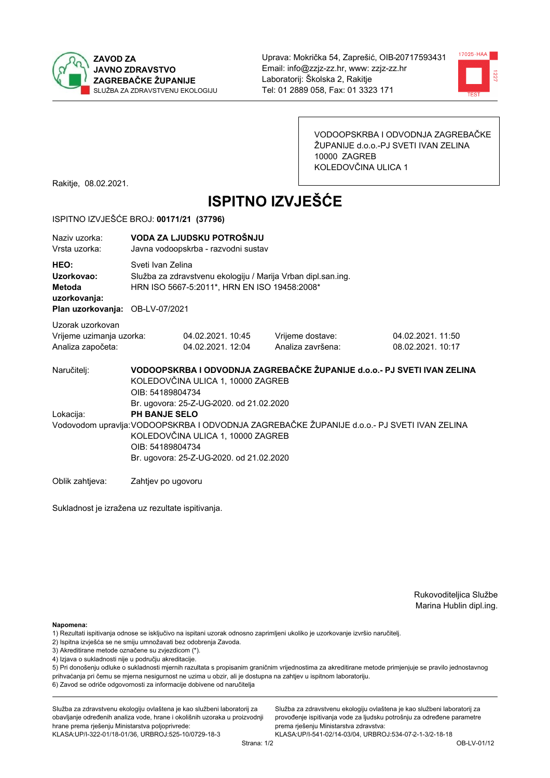



VODOOPSKRBA I ODVODNJA ZAGREBAČKE ŽUPANIJE d.o.o.-PJ SVETI IVAN ZELINA 10000 ZAGREB KOLEDOVČINA ULICA 1

Rakitje, 08.02.2021.

# **ISPITNO IZVJEŠĆE**

#### ISPITNO IZVJEŠĆE BROJ: 00171/21 (37796)

| Naziv uzorka:<br>Vrsta uzorka:                                                         |                    | VODA ZA LJUDSKU POTROŠNJU<br>Javna vodoopskrba - razvodni sustav                                                                                                                                                                                                     |                                                                         |                                       |  |  |
|----------------------------------------------------------------------------------------|--------------------|----------------------------------------------------------------------------------------------------------------------------------------------------------------------------------------------------------------------------------------------------------------------|-------------------------------------------------------------------------|---------------------------------------|--|--|
| HEO:<br>Uzorkovao:<br><b>Metoda</b><br>uzorkovanja:<br>Plan uzorkovanja: OB-LV-07/2021 |                    | Sveti Ivan Zelina<br>Služba za zdravstvenu ekologiju / Marija Vrban dipl.san.ing.<br>HRN ISO 5667-5:2011*, HRN EN ISO 19458:2008*                                                                                                                                    |                                                                         |                                       |  |  |
| Uzorak uzorkovan<br>Vrijeme uzimanja uzorka:<br>Analiza započeta:                      |                    | 04.02.2021. 10:45<br>04.02.2021. 12:04                                                                                                                                                                                                                               | Vrijeme dostave:<br>Analiza završena:                                   | 04.02.2021.11:50<br>08.02.2021. 10:17 |  |  |
| Naručitelj:                                                                            | OIB: 54189804734   | KOLEDOVČINA ULICA 1, 10000 ZAGREB                                                                                                                                                                                                                                    | VODOOPSKRBA I ODVODNJA ZAGREBAČKE ŽUPANIJE d.o.o.- PJ SVETI IVAN ZELINA |                                       |  |  |
| Lokacija:                                                                              |                    | Br. ugovora: 25-Z-UG-2020. od 21.02.2020<br><b>PH BANJE SELO</b><br>Vodovodom upravlja: VODOOPSKRBA I ODVODNJA ZAGREBAČKE ŽUPANIJE d.o.o.- PJ SVETI IVAN ZELINA<br>KOLEDOVČINA ULICA 1, 10000 ZAGREB<br>OIB: 54189804734<br>Br. ugovora: 25-Z-UG-2020. od 21.02.2020 |                                                                         |                                       |  |  |
| Oblik zahtieva:                                                                        | Zahtjev po ugovoru |                                                                                                                                                                                                                                                                      |                                                                         |                                       |  |  |

Sukladnost je izražena uz rezultate ispitivanja.

Rukovoditeljica Službe Marina Hublin dipl.ing.

Napomena:

- 1) Rezultati ispitivanja odnose se isključivo na ispitani uzorak odnosno zaprimljeni ukoliko je uzorkovanje izvršio naručiteli.
- 2) Ispitna izvješća se ne smiju umnožavati bez odobrenja Zavoda.
- 3) Akreditirane metode označene su zvjezdicom (\*).
- 4) Izjava o sukladnosti nije u području akreditacije.

5) Pri donošenju odluke o sukladnosti mjernih razultata s propisanim graničnim vrijednostima za akreditirane metode primjenjuje se pravilo jednostavnog prihvaćanja pri čemu se mjerna nesigurnost ne uzima u obzir, ali je dostupna na zahtjev u ispitnom laboratoriju.

6) Zavod se odriče odgovornosti za informacije dobivene od naručitelja

Služba za zdravstvenu ekologiju ovlaštena je kao službeni laboratorij za obavljanje određenih analiza vode, hrane i okolišnih uzoraka u proizvodnji hrane prema rješenju Ministarstva poljoprivrede:

KLASA.UP/I-322-01/18-01/36, URBROJ:525-10/0729-18-3

Služba za zdravstvenu ekologiju ovlaštena je kao službeni laboratorij za provođenje ispitivanja vode za ljudsku potrošnju za određene parametre prema riešenju Ministarstva zdravstva: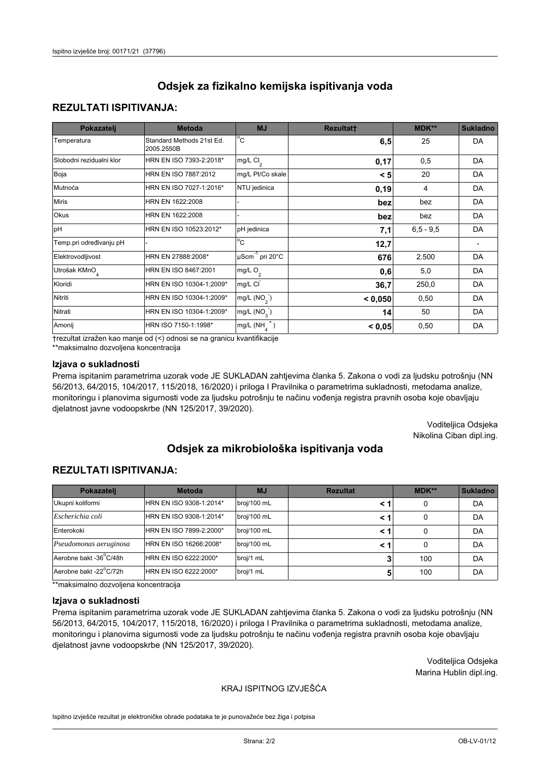## **REZULTATI ISPITIVANJA:**

| Pokazatelj                | <b>Metoda</b>                           | <b>MJ</b>                        | <b>Rezultatt</b> | <b>MDK**</b> | <b>Sukladno</b> |
|---------------------------|-----------------------------------------|----------------------------------|------------------|--------------|-----------------|
| Temperatura               | Standard Methods 21st Ed.<br>2005.2550B | $^{\circ}$ C                     | 6,5              | 25           | <b>DA</b>       |
| Slobodni rezidualni klor  | HRN EN ISO 7393-2:2018*                 | mg/L $Cl2$                       | 0,17             | 0,5          | DA              |
| Boja                      | HRN EN ISO 7887:2012                    | mg/L Pt/Co skale                 | < 5              | 20           | <b>DA</b>       |
| Mutnoća                   | HRN EN ISO 7027-1:2016*                 | NTU jedinica                     | 0, 19            | 4            | DA              |
| <b>Miris</b>              | HRN EN 1622:2008                        |                                  | bez              | bez          | DA              |
| Okus                      | HRN EN 1622:2008                        |                                  | bez              | bez          | DA              |
| pH                        | HRN EN ISO 10523:2012*                  | pH jedinica                      | 7,1              | $6,5 - 9,5$  | <b>DA</b>       |
| Temp.pri određivanju pH   |                                         | $\overline{c}$                   | 12,7             |              |                 |
| Elektrovodljivost         | HRN EN 27888:2008*                      | $\mu$ Scm <sup>-1</sup> pri 20°C | 676              | 2.500        | DA              |
| Utrošak KMnO <sub>4</sub> | HRN EN ISO 8467:2001                    | mg/L O <sub>2</sub>              | 0,6              | 5,0          | DA              |
| Kloridi                   | HRN EN ISO 10304-1:2009*                | mg/L CI                          | 36,7             | 250,0        | DA              |
| Nitriti                   | HRN EN ISO 10304-1:2009*                | mg/L $(NO2)$                     | < 0,050          | 0,50         | <b>DA</b>       |
| Nitrati                   | HRN EN ISO 10304-1:2009*                | mg/L $(NO3)$                     | 14               | 50           | DA              |
| Amonij                    | HRN ISO 7150-1:1998*                    | $mg/L(NH_A^+)$                   | < 0,05           | 0,50         | DA              |

trezultat izražen kao manje od (<) odnosi se na granicu kvantifikacije

\*\*maksimalno dozvoljena koncentracija

#### Izjava o sukladnosti

Prema ispitanim parametrima uzorak vode JE SUKLADAN zahtjevima članka 5. Zakona o vodi za ljudsku potrošnju (NN 56/2013, 64/2015, 104/2017, 115/2018, 16/2020) i priloga I Pravilnika o parametrima sukladnosti, metodama analize, monitoringu i planovima sigurnosti vode za ljudsku potrošnju te načinu vođenja registra pravnih osoba koje obavljaju djelatnost javne vodoopskrbe (NN 125/2017, 39/2020).

> Voditeljica Odsjeka Nikolina Ciban dipl.ing.

# Odsiek za mikrobiološka ispitivanja voda

## **REZULTATI ISPITIVANJA:**

| Pokazatelj             | <b>Metoda</b>           | <b>MJ</b>   | <b>Rezultat</b> | MDK** | <b>Sukladno</b> |
|------------------------|-------------------------|-------------|-----------------|-------|-----------------|
| Ukupni koliformi       | HRN EN ISO 9308-1:2014* | broj/100 mL |                 | 0     | DA              |
| Escherichia coli       | HRN EN ISO 9308-1:2014* | broj/100 mL | < 1             | 0     | DA              |
| Enterokoki             | HRN EN ISO 7899-2:2000* | broj/100 mL | < 1             | 0     | DA              |
| Pseudomonas aeruginosa | HRN EN ISO 16266:2008*  | broj/100 mL | < 1             | 0     | DA              |
| Aerobne bakt -36°C/48h | HRN EN ISO 6222:2000*   | broj/1 mL   |                 | 100   | DA              |
| Aerobne bakt -22°C/72h | HRN EN ISO 6222:2000*   | broj/1 mL   | 5               | 100   | DA              |

\*\*maksimalno dozvoljena koncentracija

#### Izjava o sukladnosti

Prema ispitanim parametrima uzorak vode JE SUKLADAN zahtjevima članka 5. Zakona o vodi za ljudsku potrošnju (NN 56/2013, 64/2015, 104/2017, 115/2018, 16/2020) i priloga I Pravilnika o parametrima sukladnosti, metodama analize, monitoringu i planovima sigurnosti vode za ljudsku potrošnju te načinu vođenja registra pravnih osoba koje obavljaju djelatnost javne vodoopskrbe (NN 125/2017, 39/2020).

> Voditeljica Odsjeka Marina Hublin dipl.ing.

### KRAJ ISPITNOG IZVJEŠĆA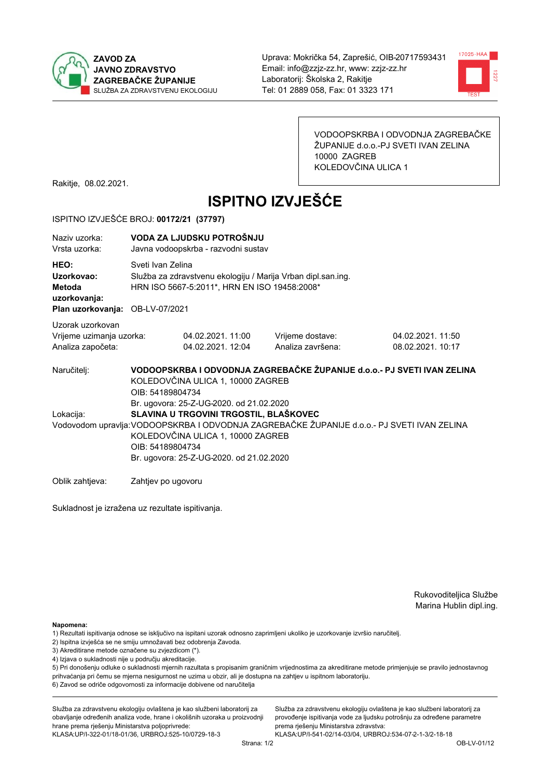



VODOOPSKRBA I ODVODNJA ZAGREBAČKE ŽUPANIJE d.o.o.-PJ SVETI IVAN ZELINA 10000 ZAGREB KOLEDOVČINA ULICA 1

Rakitje, 08.02.2021.

# **ISPITNO IZVJEŠĆE**

#### ISPITNO IZVJEŠĆE BROJ: 00172/21 (37797)

| Naziv uzorka:<br>Vrsta uzorka:                                                  | VODA ZA LJUDSKU POTROŠNJU<br>Javna vodoopskrba - razvodni sustav                                                                                                                                                                           |                                       |                                       |                                        |  |  |  |
|---------------------------------------------------------------------------------|--------------------------------------------------------------------------------------------------------------------------------------------------------------------------------------------------------------------------------------------|---------------------------------------|---------------------------------------|----------------------------------------|--|--|--|
| HEO:<br>Uzorkovao:<br>Metoda<br>uzorkovanja:<br>Plan uzorkovanja: OB-LV-07/2021 | Sveti Ivan Zelina<br>Služba za zdravstvenu ekologiju / Marija Vrban dipl.san.ing.<br>HRN ISO 5667-5:2011*, HRN EN ISO 19458:2008*                                                                                                          |                                       |                                       |                                        |  |  |  |
| Uzorak uzorkovan<br>Vrijeme uzimanja uzorka:<br>Analiza započeta:               |                                                                                                                                                                                                                                            | 04.02.2021.11:00<br>04.02.2021. 12:04 | Vrijeme dostave:<br>Analiza završena: | 04.02.2021. 11:50<br>08.02.2021. 10:17 |  |  |  |
| Naručitelj:                                                                     | VODOOPSKRBA I ODVODNJA ZAGREBAČKE ŽUPANIJE d.o.o.- PJ SVETI IVAN ZELINA<br>KOLEDOVČINA ULICA 1, 10000 ZAGREB<br>OIB: 54189804734<br>Br. ugovora: 25-Z-UG-2020. od 21.02.2020                                                               |                                       |                                       |                                        |  |  |  |
| Lokacija:                                                                       | SLAVINA U TRGOVINI TRGOSTIL, BLAŠKOVEC<br>Vodovodom upravlja: VODOOPSKRBA I ODVODNJA ZAGREBAČKE ŽUPANIJE d.o.o.- PJ SVETI IVAN ZELINA<br>KOLEDOVČINA ULICA 1, 10000 ZAGREB<br>OIB: 54189804734<br>Br. ugovora: 25-Z-UG-2020. od 21.02.2020 |                                       |                                       |                                        |  |  |  |
| Oblik zahtieva:                                                                 | Zahtjev po ugovoru                                                                                                                                                                                                                         |                                       |                                       |                                        |  |  |  |

Sukladnost je izražena uz rezultate ispitivanja.

Rukovoditeljica Službe Marina Hublin dipl.ing.

Napomena:

- 1) Rezultati ispitivanja odnose se isključivo na ispitani uzorak odnosno zaprimljeni ukoliko je uzorkovanje izvršio naručiteli.
- 2) Ispitna izvješća se ne smiju umnožavati bez odobrenja Zavoda.
- 3) Akreditirane metode označene su zvjezdicom (\*).
- 4) Izjava o sukladnosti nije u području akreditacije.

5) Pri donošenju odluke o sukladnosti mjernih razultata s propisanim graničnim vrijednostima za akreditirane metode primjenjuje se pravilo jednostavnog prihvaćanja pri čemu se mjerna nesigurnost ne uzima u obzir, ali je dostupna na zahtjev u ispitnom laboratoriju.

6) Zavod se odriče odgovornosti za informacije dobivene od naručitelja

Služba za zdravstvenu ekologiju ovlaštena je kao službeni laboratorij za obavljanje određenih analiza vode, hrane i okolišnih uzoraka u proizvodnji hrane prema rješenju Ministarstva poljoprivrede:

KLASA.UP/I-322-01/18-01/36, URBROJ:525-10/0729-18-3

Služba za zdravstvenu ekologiju ovlaštena je kao službeni laboratorij za provođenje ispitivanja vode za ljudsku potrošnju za određene parametre prema riešenju Ministarstva zdravstva: